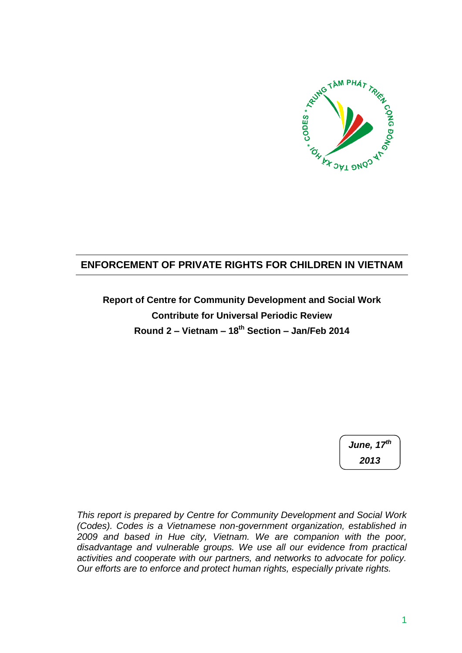

# **ENFORCEMENT OF PRIVATE RIGHTS FOR CHILDREN IN VIETNAM**

**Report of Centre for Community Development and Social Work Contribute for Universal Periodic Review Round 2 – Vietnam – 18th Section – Jan/Feb 2014**

> *June, 17th 2013*

*This report is prepared by Centre for Community Development and Social Work (Codes). Codes is a Vietnamese non-government organization, established in 2009 and based in Hue city, Vietnam. We are companion with the poor, disadvantage and vulnerable groups. We use all our evidence from practical activities and cooperate with our partners, and networks to advocate for policy. Our efforts are to enforce and protect human rights, especially private rights.*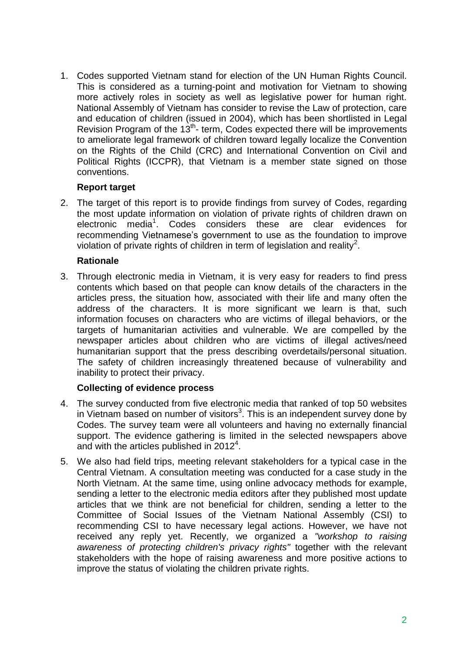1. Codes supported Vietnam stand for election of the UN Human Rights Council. This is considered as a turning-point and motivation for Vietnam to showing more actively roles in society as well as legislative power for human right. National Assembly of Vietnam has consider to revise the Law of protection, care and education of children (issued in 2004), which has been shortlisted in Legal Revision Program of the  $13<sup>th</sup>$ - term, Codes expected there will be improvements to ameliorate legal framework of children toward legally localize the Convention on the Rights of the Child (CRC) and International Convention on Civil and Political Rights (ICCPR), that Vietnam is a member state signed on those conventions.

#### **Report target**

2. The target of this report is to provide findings from survey of Codes, regarding the most update information on violation of private rights of children drawn on electronic media<sup>1</sup>. Codes considers these are clear evidences for recommending Vietnamese's government to use as the foundation to improve violation of private rights of children in term of legislation and reality<sup>2</sup>.

### **Rationale**

3. Through electronic media in Vietnam, it is very easy for readers to find press contents which based on that people can know details of the characters in the articles press, the situation how, associated with their life and many often the address of the characters. It is more significant we learn is that, such information focuses on characters who are victims of illegal behaviors, or the targets of humanitarian activities and vulnerable. We are compelled by the newspaper articles about children who are victims of illegal actives/need humanitarian support that the press describing overdetails/personal situation. The safety of children increasingly threatened because of vulnerability and inability to protect their privacy.

## **Collecting of evidence process**

- 4. The survey conducted from five electronic media that ranked of top 50 websites in Vietnam based on number of visitors<sup>3</sup>. This is an independent survey done by Codes. The survey team were all volunteers and having no externally financial support. The evidence gathering is limited in the selected newspapers above and with the articles published in  $2012^4$ .
- 5. We also had field trips, meeting relevant stakeholders for a typical case in the Central Vietnam. A consultation meeting was conducted for a case study in the North Vietnam. At the same time, using online advocacy methods for example, sending a letter to the electronic media editors after they published most update articles that we think are not beneficial for children, sending a letter to the Committee of Social Issues of the Vietnam National Assembly (CSI) to recommending CSI to have necessary legal actions. However, we have not received any reply yet. Recently, we organized a *"workshop to raising awareness of protecting children's privacy rights"* together with the relevant stakeholders with the hope of raising awareness and more positive actions to improve the status of violating the children private rights.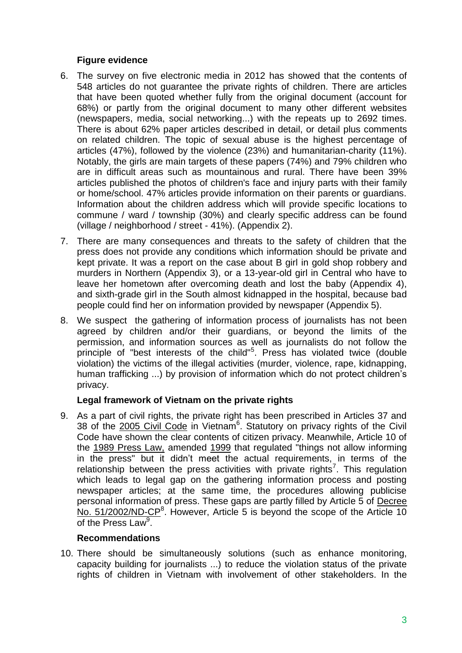## **Figure evidence**

- 6. The survey on five electronic media in 2012 has showed that the contents of 548 articles do not guarantee the private rights of children. There are articles that have been quoted whether fully from the original document (account for 68%) or partly from the original document to many other different websites (newspapers, media, social networking...) with the repeats up to 2692 times. There is about 62% paper articles described in detail, or detail plus comments on related children. The topic of sexual abuse is the highest percentage of articles (47%), followed by the violence (23%) and humanitarian-charity (11%). Notably, the girls are main targets of these papers (74%) and 79% children who are in difficult areas such as mountainous and rural. There have been 39% articles published the photos of children's face and injury parts with their family or home/school. 47% articles provide information on their parents or guardians. Information about the children address which will provide specific locations to commune / ward / township (30%) and clearly specific address can be found (village / neighborhood / street - 41%). (Appendix 2).
- 7. There are many consequences and threats to the safety of children that the press does not provide any conditions which information should be private and kept private. It was a report on the case about B girl in gold shop robbery and murders in Northern (Appendix 3), or a 13-year-old girl in Central who have to leave her hometown after overcoming death and lost the baby (Appendix 4), and sixth-grade girl in the South almost kidnapped in the hospital, because bad people could find her on information provided by newspaper (Appendix 5).
- 8. We suspect the gathering of information process of journalists has not been agreed by children and/or their guardians, or beyond the limits of the permission, and information sources as well as journalists do not follow the principle of "best interests of the child"<sup>5</sup> . Press has violated twice (double violation) the victims of the illegal activities (murder, violence, rape, kidnapping, human trafficking ...) by provision of information which do not protect children's privacy.

## **Legal framework of Vietnam on the private rights**

9. As a part of civil rights, the private right has been prescribed in Articles 37 and 38 of the 2005 Civil Code in Vietnam<sup>6</sup>. Statutory on privacy rights of the Civil Code have shown the clear contents of citizen privacy. Meanwhile, Article 10 of the 1989 Press Law, amended 1999 that regulated "things not allow informing in the press" but it didn't meet the actual requirements, in terms of the relationship between the press activities with private rights<sup>7</sup>. This regulation which leads to legal gap on the gathering information process and posting newspaper articles; at the same time, the procedures allowing publicise personal information of press. These gaps are partly filled by Article 5 of Decree No.  $51/2002/ND$ - $CP<sup>8</sup>$ . However, Article 5 is beyond the scope of the Article 10 of the Press Law<sup>9</sup>.

#### **Recommendations**

10. There should be simultaneously solutions (such as enhance monitoring, capacity building for journalists ...) to reduce the violation status of the private rights of children in Vietnam with involvement of other stakeholders. In the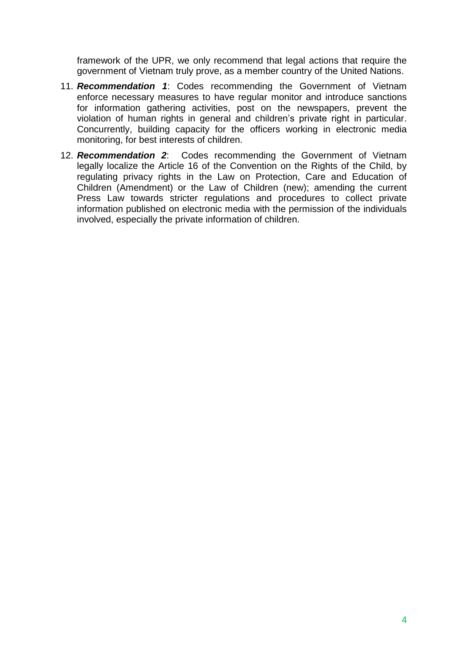framework of the UPR, we only recommend that legal actions that require the government of Vietnam truly prove, as a member country of the United Nations.

- 11. *Recommendation 1*: Codes recommending the Government of Vietnam enforce necessary measures to have regular monitor and introduce sanctions for information gathering activities, post on the newspapers, prevent the violation of human rights in general and children's private right in particular. Concurrently, building capacity for the officers working in electronic media monitoring, for best interests of children.
- 12. *Recommendation 2*: Codes recommending the Government of Vietnam legally localize the Article 16 of the Convention on the Rights of the Child, by regulating privacy rights in the Law on Protection, Care and Education of Children (Amendment) or the Law of Children (new); amending the current Press Law towards stricter regulations and procedures to collect private information published on electronic media with the permission of the individuals involved, especially the private information of children.